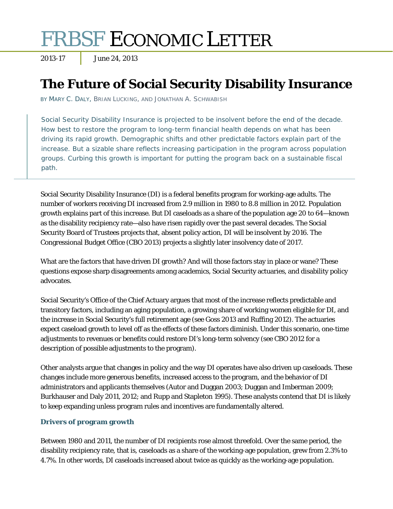# FRBSF ECONOMIC LETTER

2013-17 June 24, 2013

## **The Future of Social Security Disability Insurance**

BY MARY C. DALY, BRIAN LUCKING, AND JONATHAN A. SCHWABISH

Social Security Disability Insurance is projected to be insolvent before the end of the decade. How best to restore the program to long-term financial health depends on what has been driving its rapid growth. Demographic shifts and other predictable factors explain part of the increase. But a sizable share reflects increasing participation in the program across population groups. Curbing this growth is important for putting the program back on a sustainable fiscal path.

Social Security Disability Insurance (DI) is a federal benefits program for working-age adults. The number of workers receiving DI increased from 2.9 million in 1980 to 8.8 million in 2012. Population growth explains part of this increase. But DI caseloads as a share of the population age 20 to 64—known as the disability recipiency rate—also have risen rapidly over the past several decades. The Social Security Board of Trustees projects that, absent policy action, DI will be insolvent by 2016. The Congressional Budget Office (CBO 2013) projects a slightly later insolvency date of 2017.

What are the factors that have driven DI growth? And will those factors stay in place or wane? These questions expose sharp disagreements among academics, Social Security actuaries, and disability policy advocates.

Social Security's Office of the Chief Actuary argues that most of the increase reflects predictable and transitory factors, including an aging population, a growing share of working women eligible for DI, and the increase in Social Security's full retirement age (see Goss 2013 and Ruffing 2012). The actuaries expect caseload growth to level off as the effects of these factors diminish. Under this scenario, one-time adjustments to revenues or benefits could restore DI's long-term solvency (see CBO 2012 for a description of possible adjustments to the program).

Other analysts argue that changes in policy and the way DI operates have also driven up caseloads. These changes include more generous benefits, increased access to the program, and the behavior of DI administrators and applicants themselves (Autor and Duggan 2003; Duggan and Imberman 2009; Burkhauser and Daly 2011, 2012; and Rupp and Stapleton 1995). These analysts contend that DI is likely to keep expanding unless program rules and incentives are fundamentally altered.

### **Drivers of program growth**

Between 1980 and 2011, the number of DI recipients rose almost threefold. Over the same period, the disability recipiency rate, that is, caseloads as a share of the working-age population, grew from 2.3% to 4.7%. In other words, DI caseloads increased about twice as quickly as the working-age population.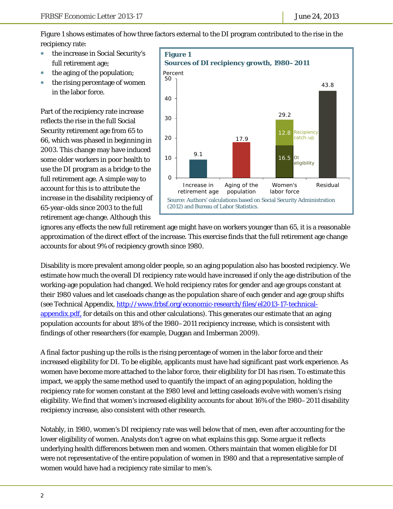Figure 1 shows estimates of how three factors external to the DI program contributed to the rise in the recipiency rate:

- the increase in Social Security's full retirement age;
- the aging of the population;
- the rising percentage of women in the labor force.

Part of the recipiency rate increase reflects the rise in the full Social Security retirement age from 65 to 66, which was phased in beginning in 2003. This change may have induced some older workers in poor health to use the DI program as a bridge to the full retirement age. A simple way to account for this is to attribute the increase in the disability recipiency of 65-year-olds since 2003 to the full retirement age change. Although this



ignores any effects the new full retirement age might have on workers younger than 65, it is a reasonable approximation of the direct effect of the increase. This exercise finds that the full retirement age change accounts for about 9% of recipiency growth since 1980.

Disability is more prevalent among older people, so an aging population also has boosted recipiency. We estimate how much the overall DI recipiency rate would have increased if only the age distribution of the working-age population had changed. We hold recipiency rates for gender and age groups constant at their 1980 values and let caseloads change as the population share of each gender and age group shifts (see Technical Appendix, http://www.frbsf.org/economic-research/files/el2013-17-technicalappendix.pdf, for details on this and other calculations). This generates our estimate that an aging population accounts for about 18% of the 1980–2011 recipiency increase, which is consistent with findings of other researchers (for example, Duggan and Imberman 2009).

A final factor pushing up the rolls is the rising percentage of women in the labor force and their increased eligibility for DI. To be eligible, applicants must have had significant past work experience. As women have become more attached to the labor force, their eligibility for DI has risen. To estimate this impact, we apply the same method used to quantify the impact of an aging population, holding the recipiency rate for women constant at the 1980 level and letting caseloads evolve with women's rising eligibility. We find that women's increased eligibility accounts for about 16% of the 1980–2011 disability recipiency increase, also consistent with other research.

Notably, in 1980, women's DI recipiency rate was well below that of men, even after accounting for the lower eligibility of women. Analysts don't agree on what explains this gap. Some argue it reflects underlying health differences between men and women. Others maintain that women eligible for DI were not representative of the entire population of women in 1980 and that a representative sample of women would have had a recipiency rate similar to men's.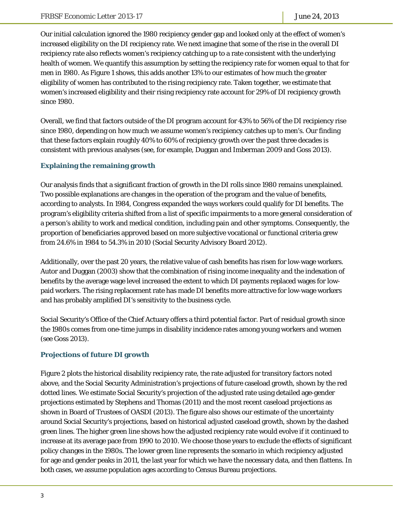Our initial calculation ignored the 1980 recipiency gender gap and looked only at the effect of women's increased eligibility on the DI recipiency rate. We next imagine that some of the rise in the overall DI recipiency rate also reflects women's recipiency catching up to a rate consistent with the underlying health of women. We quantify this assumption by setting the recipiency rate for women equal to that for men in 1980. As Figure 1 shows, this adds another 13% to our estimates of how much the greater eligibility of women has contributed to the rising recipiency rate. Taken together, we estimate that women's increased eligibility and their rising recipiency rate account for 29% of DI recipiency growth since 1980.

Overall, we find that factors outside of the DI program account for 43% to 56% of the DI recipiency rise since 1980, depending on how much we assume women's recipiency catches up to men's. Our finding that these factors explain roughly 40% to 60% of recipiency growth over the past three decades is consistent with previous analyses (see, for example, Duggan and Imberman 2009 and Goss 2013).

#### **Explaining the remaining growth**

Our analysis finds that a significant fraction of growth in the DI rolls since 1980 remains unexplained. Two possible explanations are changes in the operation of the program and the value of benefits, according to analysts. In 1984, Congress expanded the ways workers could qualify for DI benefits. The program's eligibility criteria shifted from a list of specific impairments to a more general consideration of a person's ability to work and medical condition, including pain and other symptoms. Consequently, the proportion of beneficiaries approved based on more subjective vocational or functional criteria grew from 24.6% in 1984 to 54.3% in 2010 (Social Security Advisory Board 2012).

Additionally, over the past 20 years, the relative value of cash benefits has risen for low-wage workers. Autor and Duggan (2003) show that the combination of rising income inequality and the indexation of benefits by the average wage level increased the extent to which DI payments replaced wages for lowpaid workers. The rising replacement rate has made DI benefits more attractive for low-wage workers and has probably amplified DI's sensitivity to the business cycle.

Social Security's Office of the Chief Actuary offers a third potential factor. Part of residual growth since the 1980s comes from one-time jumps in disability incidence rates among young workers and women (see Goss 2013).

#### **Projections of future DI growth**

Figure 2 plots the historical disability recipiency rate, the rate adjusted for transitory factors noted above, and the Social Security Administration's projections of future caseload growth, shown by the red dotted lines. We estimate Social Security's projection of the adjusted rate using detailed age-gender projections estimated by Stephens and Thomas (2011) and the most recent caseload projections as shown in Board of Trustees of OASDI (2013). The figure also shows our estimate of the uncertainty around Social Security's projections, based on historical adjusted caseload growth, shown by the dashed green lines. The higher green line shows how the adjusted recipiency rate would evolve if it continued to increase at its average pace from 1990 to 2010. We choose those years to exclude the effects of significant policy changes in the 1980s. The lower green line represents the scenario in which recipiency adjusted for age and gender peaks in 2011, the last year for which we have the necessary data, and then flattens. In both cases, we assume population ages according to Census Bureau projections.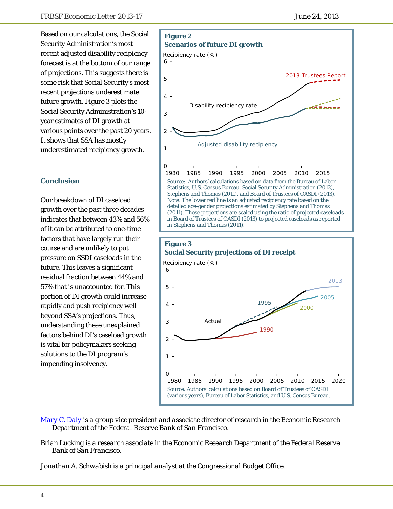Based on our calculations, the Social Security Administration's most recent adjusted disability recipiency forecast is at the bottom of our range of projections. This suggests there is some risk that Social Security's most recent projections underestimate future growth. Figure 3 plots the Social Security Administration's 10 year estimates of DI growth at various points over the past 20 years. It shows that SSA has mostly underestimated recipiency growth.

#### **Conclusion**

Our breakdown of DI caseload growth over the past three decades indicates that between 43% and 56% of it can be attributed to one-time factors that have largely run their course and are unlikely to put pressure on SSDI caseloads in the future. This leaves a significant residual fraction between 44% and 57% that is unaccounted for. This portion of DI growth could increase rapidly and push recipiency well beyond SSA's projections. Thus, understanding these unexplained factors behind DI's caseload growth is vital for policymakers seeking solutions to the DI program's impending insolvency.





*[Mary C. Daly i](http://www.frbsf.org/economic-research/economists/mary-c-daly/)s a group vice president and associate director of research in the Economic Research Department of the Federal Reserve Bank of San Francisco.*

*Brian Lucking is a research associate in the Economic Research Department of the Federal Reserve Bank of San Francisco.* 

*Jonathan A. Schwabish is a principal analyst at the Congressional Budget Office.*